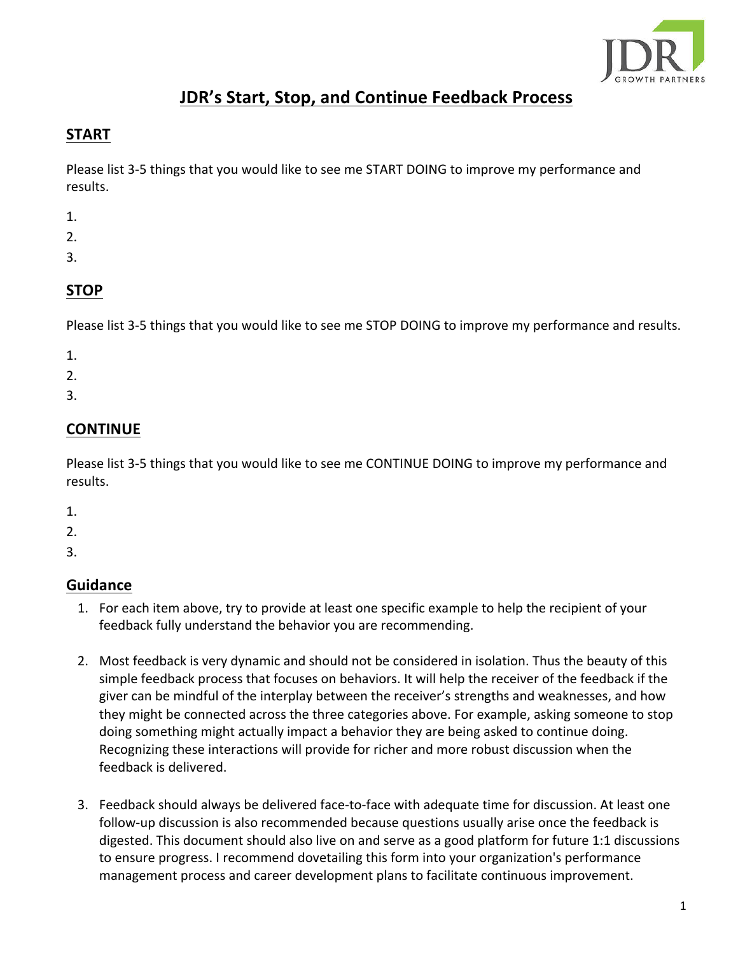

# **JDR's Start, Stop, and Continue Feedback Process**

#### **START**

Please list 3-5 things that you would like to see me START DOING to improve my performance and results.

- 1.
- 2.
- 3.

## **STOP**

Please list 3-5 things that you would like to see me STOP DOING to improve my performance and results.

1.

 $2<sub>1</sub>$ 

3.

# **CONTINUE**

Please list 3-5 things that you would like to see me CONTINUE DOING to improve my performance and results.

1.

2.

3.

## **Guidance**

- 1. For each item above, try to provide at least one specific example to help the recipient of your feedback fully understand the behavior you are recommending.
- 2. Most feedback is very dynamic and should not be considered in isolation. Thus the beauty of this simple feedback process that focuses on behaviors. It will help the receiver of the feedback if the giver can be mindful of the interplay between the receiver's strengths and weaknesses, and how they might be connected across the three categories above. For example, asking someone to stop doing something might actually impact a behavior they are being asked to continue doing. Recognizing these interactions will provide for richer and more robust discussion when the feedback is delivered.
- 3. Feedback should always be delivered face-to-face with adequate time for discussion. At least one follow-up discussion is also recommended because questions usually arise once the feedback is digested. This document should also live on and serve as a good platform for future 1:1 discussions to ensure progress. I recommend dovetailing this form into your organization's performance management process and career development plans to facilitate continuous improvement.